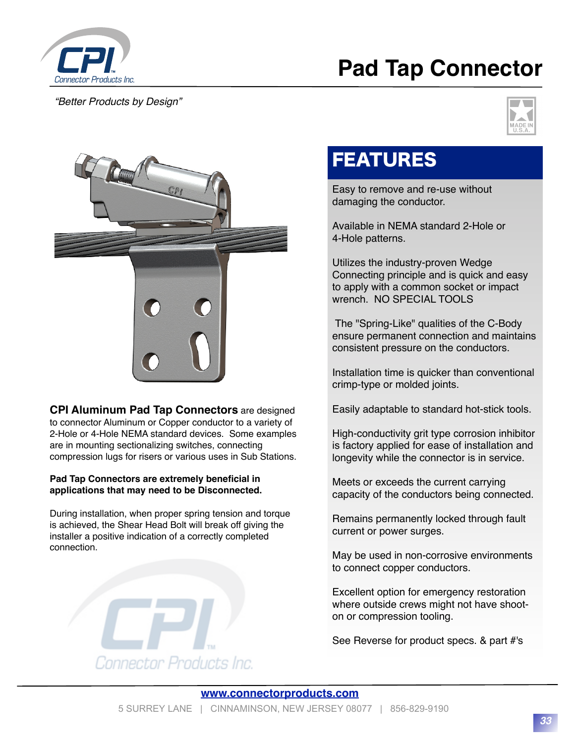

#### *"Better Products by Design"*

# **Pad Tap Connector**





**CPI Aluminum Pad Tap Connectors** are designed to connector Aluminum or Copper conductor to a variety of 2-Hole or 4-Hole NEMA standard devices. Some examples are in mounting sectionalizing switches, connecting compression lugs for risers or various uses in Sub Stations.

#### **Pad Tap Connectors are extremely beneficial in applications that may need to be Disconnected.**

During installation, when proper spring tension and torque is achieved, the Shear Head Bolt will break off giving the installer a positive indication of a correctly completed connection.



### FEATURES

Easy to remove and re-use without damaging the conductor.

Available in NEMA standard 2-Hole or 4-Hole patterns.

Utilizes the industry-proven Wedge Connecting principle and is quick and easy to apply with a common socket or impact wrench. NO SPECIAL TOOLS

 The "Spring-Like" qualities of the C-Body ensure permanent connection and maintains consistent pressure on the conductors.

Installation time is quicker than conventional crimp-type or molded joints.

Easily adaptable to standard hot-stick tools.

High-conductivity grit type corrosion inhibitor is factory applied for ease of installation and longevity while the connector is in service.

Meets or exceeds the current carrying capacity of the conductors being connected.

Remains permanently locked through fault current or power surges.

May be used in non-corrosive environments to connect copper conductors.

Excellent option for emergency restoration where outside crews might not have shooton or compression tooling.

See Reverse for product specs. & part #'s